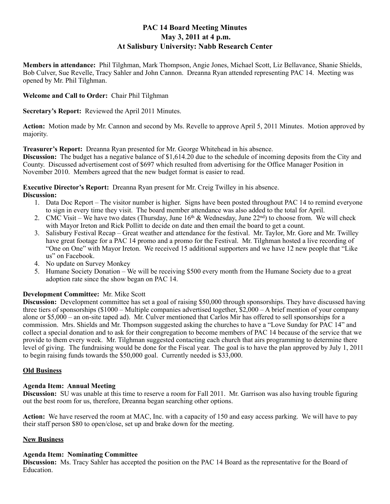# **PAC 14 Board Meeting Minutes May 3, 2011 at 4 p.m. At Salisbury University: Nabb Research Center**

**Members in attendance:** Phil Tilghman, Mark Thompson, Angie Jones, Michael Scott, Liz Bellavance, Shanie Shields, Bob Culver, Sue Revelle, Tracy Sahler and John Cannon. Dreanna Ryan attended representing PAC 14. Meeting was opened by Mr. Phil Tilghman.

# **Welcome and Call to Order:** Chair Phil Tilghman

**Secretary's Report:** Reviewed the April 2011 Minutes.

**Action:** Motion made by Mr. Cannon and second by Ms. Revelle to approve April 5, 2011 Minutes. Motion approved by majority.

**Treasurer's Report:** Dreanna Ryan presented for Mr. George Whitehead in his absence.

**Discussion:** The budget has a negative balance of \$1,614.20 due to the schedule of incoming deposits from the City and County. Discussed advertisement cost of \$697 which resulted from advertising for the Office Manager Position in November 2010. Members agreed that the new budget format is easier to read.

**Executive Director's Report:** Dreanna Ryan present for Mr. Creig Twilley in his absence. **Discussion:**

- 1. Data Doc Report The visitor number is higher. Signs have been posted throughout PAC 14 to remind everyone to sign in every time they visit. The board member attendance was also added to the total for April.
- 2. CMC Visit We have two dates (Thursday, June  $16<sup>th</sup>$  & Wednesday, June  $22<sup>nd</sup>$ ) to choose from. We will check with Mayor Ireton and Rick Pollitt to decide on date and then email the board to get a count.
- 3. Salisbury Festival Recap Great weather and attendance for the festival. Mr. Taylor, Mr. Gore and Mr. Twilley have great footage for a PAC 14 promo and a promo for the Festival. Mr. Tilghman hosted a live recording of "One on One" with Mayor Ireton. We received 15 additional supporters and we have 12 new people that "Like us" on Facebook.
- 4. No update on Survey Monkey
- 5. Humane Society Donation We will be receiving \$500 every month from the Humane Society due to a great adoption rate since the show began on PAC 14.

# **Development Committee:** Mr. Mike Scott

**Discussion:** Development committee has set a goal of raising \$50,000 through sponsorships. They have discussed having three tiers of sponsorships (\$1000 – Multiple companies advertised together, \$2,000 – A brief mention of your company alone or \$5,000 – an on-site taped ad). Mr. Culver mentioned that Carlos Mir has offered to sell sponsorships for a commission. Mrs. Shields and Mr. Thompson suggested asking the churches to have a "Love Sunday for PAC 14" and collect a special donation and to ask for their congregation to become members of PAC 14 because of the service that we provide to them every week. Mr. Tilghman suggested contacting each church that airs programming to determine there level of giving. The fundraising would be done for the Fiscal year. The goal is to have the plan approved by July 1, 2011 to begin raising funds towards the \$50,000 goal. Currently needed is \$33,000.

# **Old Business**

# **Agenda Item: Annual Meeting**

**Discussion:** SU was unable at this time to reserve a room for Fall 2011. Mr. Garrison was also having trouble figuring out the best room for us, therefore, Dreanna began searching other options.

**Action:** We have reserved the room at MAC, Inc. with a capacity of 150 and easy access parking. We will have to pay their staff person \$80 to open/close, set up and brake down for the meeting.

# **New Business**

# **Agenda Item: Nominating Committee**

**Discussion:** Ms. Tracy Sahler has accepted the position on the PAC 14 Board as the representative for the Board of Education.